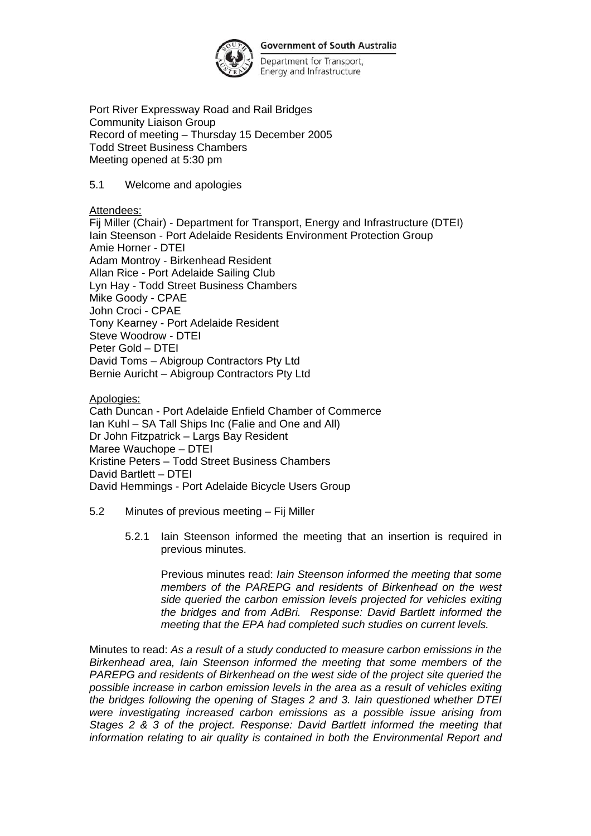

Department for Transport, Energy and Infrastructure

Port River Expressway Road and Rail Bridges Community Liaison Group Record of meeting – Thursday 15 December 2005 Todd Street Business Chambers Meeting opened at 5:30 pm

5.1 Welcome and apologies

Attendees:

Fij Miller (Chair) - Department for Transport, Energy and Infrastructure (DTEI) Iain Steenson - Port Adelaide Residents Environment Protection Group Amie Horner - DTEI Adam Montroy - Birkenhead Resident Allan Rice - Port Adelaide Sailing Club Lyn Hay - Todd Street Business Chambers Mike Goody - CPAE John Croci - CPAE Tony Kearney - Port Adelaide Resident Steve Woodrow - DTEI Peter Gold – DTEI David Toms – Abigroup Contractors Pty Ltd Bernie Auricht – Abigroup Contractors Pty Ltd

Apologies:

Cath Duncan - Port Adelaide Enfield Chamber of Commerce Ian Kuhl – SA Tall Ships Inc (Falie and One and All) Dr John Fitzpatrick – Largs Bay Resident Maree Wauchope – DTEI Kristine Peters – Todd Street Business Chambers David Bartlett – DTEI David Hemmings - Port Adelaide Bicycle Users Group

- 5.2 Minutes of previous meeting Fij Miller
	- 5.2.1 Iain Steenson informed the meeting that an insertion is required in previous minutes.

Previous minutes read: *Iain Steenson informed the meeting that some members of the PAREPG and residents of Birkenhead on the west side queried the carbon emission levels projected for vehicles exiting the bridges and from AdBri. Response: David Bartlett informed the meeting that the EPA had completed such studies on current levels.*

Minutes to read: *As a result of a study conducted to measure carbon emissions in the Birkenhead area, Iain Steenson informed the meeting that some members of the PAREPG and residents of Birkenhead on the west side of the project site queried the possible increase in carbon emission levels in the area as a result of vehicles exiting the bridges following the opening of Stages 2 and 3. Iain questioned whether DTEI were investigating increased carbon emissions as a possible issue arising from Stages 2 & 3 of the project. Response: David Bartlett informed the meeting that information relating to air quality is contained in both the Environmental Report and*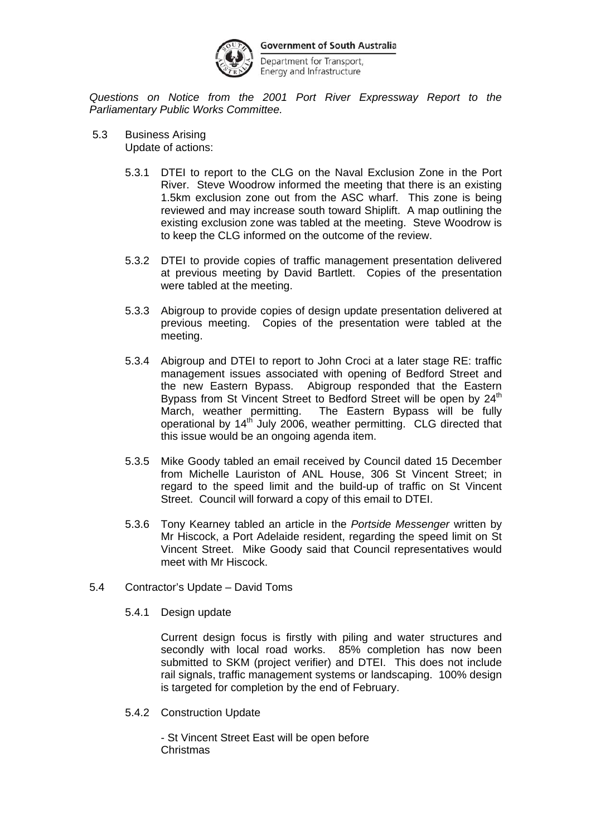

Department for Transport, Energy and Infrastructure

*Questions on Notice from the 2001 Port River Expressway Report to the Parliamentary Public Works Committee.* 

- 5.3 Business Arising Update of actions:
	- 5.3.1 DTEI to report to the CLG on the Naval Exclusion Zone in the Port River. Steve Woodrow informed the meeting that there is an existing 1.5km exclusion zone out from the ASC wharf. This zone is being reviewed and may increase south toward Shiplift. A map outlining the existing exclusion zone was tabled at the meeting. Steve Woodrow is to keep the CLG informed on the outcome of the review.
	- 5.3.2 DTEI to provide copies of traffic management presentation delivered at previous meeting by David Bartlett. Copies of the presentation were tabled at the meeting.
	- 5.3.3 Abigroup to provide copies of design update presentation delivered at previous meeting. Copies of the presentation were tabled at the meeting.
	- 5.3.4 Abigroup and DTEI to report to John Croci at a later stage RE: traffic management issues associated with opening of Bedford Street and the new Eastern Bypass. Abigroup responded that the Eastern Bypass from St Vincent Street to Bedford Street will be open by 24<sup>th</sup> March, weather permitting. The Eastern Bypass will be fully operational by 14th July 2006, weather permitting. CLG directed that this issue would be an ongoing agenda item.
	- 5.3.5 Mike Goody tabled an email received by Council dated 15 December from Michelle Lauriston of ANL House, 306 St Vincent Street; in regard to the speed limit and the build-up of traffic on St Vincent Street. Council will forward a copy of this email to DTEI.
	- 5.3.6 Tony Kearney tabled an article in the *Portside Messenger* written by Mr Hiscock, a Port Adelaide resident, regarding the speed limit on St Vincent Street. Mike Goody said that Council representatives would meet with Mr Hiscock.
- 5.4 Contractor's Update David Toms
	- 5.4.1 Design update

Current design focus is firstly with piling and water structures and secondly with local road works. 85% completion has now been submitted to SKM (project verifier) and DTEI. This does not include rail signals, traffic management systems or landscaping. 100% design is targeted for completion by the end of February.

5.4.2 Construction Update

- St Vincent Street East will be open before Christmas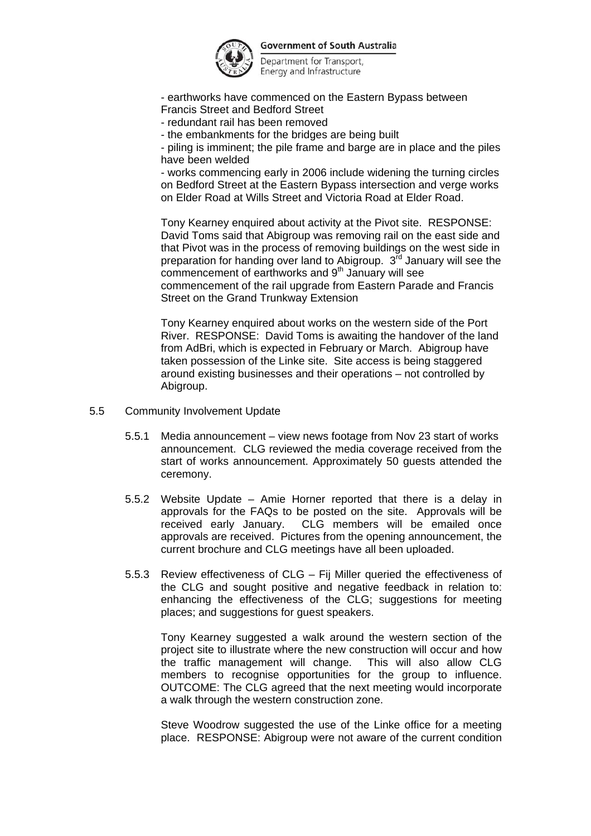

Department for Transport, Energy and Infrastructure

- earthworks have commenced on the Eastern Bypass between Francis Street and Bedford Street

- redundant rail has been removed

- the embankments for the bridges are being built

- piling is imminent; the pile frame and barge are in place and the piles have been welded

- works commencing early in 2006 include widening the turning circles on Bedford Street at the Eastern Bypass intersection and verge works on Elder Road at Wills Street and Victoria Road at Elder Road.

Tony Kearney enquired about activity at the Pivot site. RESPONSE: David Toms said that Abigroup was removing rail on the east side and that Pivot was in the process of removing buildings on the west side in preparation for handing over land to Abigroup.  $3<sup>rd</sup>$  January will see the commencement of earthworks and 9<sup>th</sup> January will see commencement of the rail upgrade from Eastern Parade and Francis Street on the Grand Trunkway Extension

Tony Kearney enquired about works on the western side of the Port River. RESPONSE: David Toms is awaiting the handover of the land from AdBri, which is expected in February or March. Abigroup have taken possession of the Linke site. Site access is being staggered around existing businesses and their operations – not controlled by Abigroup.

- 5.5 Community Involvement Update
	- 5.5.1 Media announcement view news footage from Nov 23 start of works announcement. CLG reviewed the media coverage received from the start of works announcement. Approximately 50 guests attended the ceremony.
	- 5.5.2 Website Update Amie Horner reported that there is a delay in approvals for the FAQs to be posted on the site. Approvals will be received early January. CLG members will be emailed once approvals are received. Pictures from the opening announcement, the current brochure and CLG meetings have all been uploaded.
	- 5.5.3 Review effectiveness of CLG Fij Miller queried the effectiveness of the CLG and sought positive and negative feedback in relation to: enhancing the effectiveness of the CLG; suggestions for meeting places; and suggestions for guest speakers.

Tony Kearney suggested a walk around the western section of the project site to illustrate where the new construction will occur and how the traffic management will change. This will also allow CLG members to recognise opportunities for the group to influence. OUTCOME: The CLG agreed that the next meeting would incorporate a walk through the western construction zone.

Steve Woodrow suggested the use of the Linke office for a meeting place. RESPONSE: Abigroup were not aware of the current condition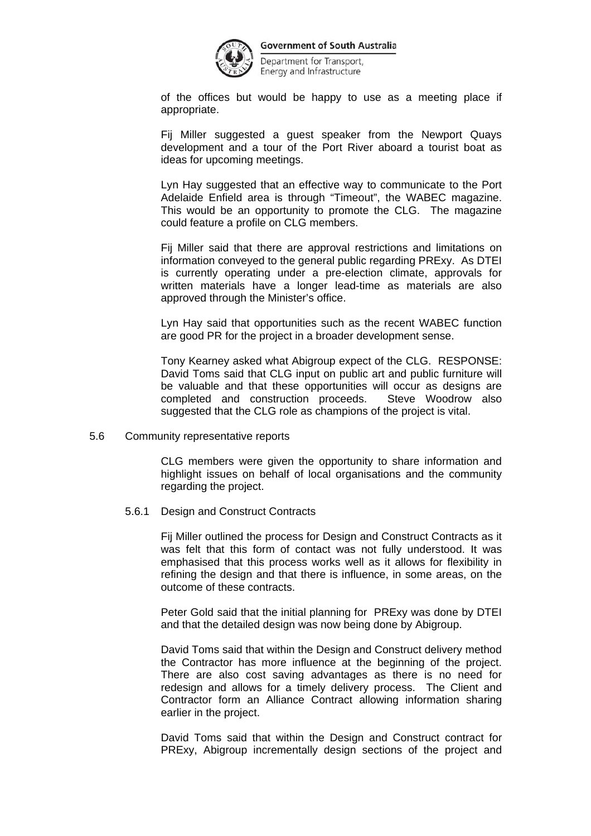

Department for Transport, Energy and Infrastructure

of the offices but would be happy to use as a meeting place if appropriate.

Fij Miller suggested a guest speaker from the Newport Quays development and a tour of the Port River aboard a tourist boat as ideas for upcoming meetings.

Lyn Hay suggested that an effective way to communicate to the Port Adelaide Enfield area is through "Timeout", the WABEC magazine. This would be an opportunity to promote the CLG. The magazine could feature a profile on CLG members.

Fij Miller said that there are approval restrictions and limitations on information conveyed to the general public regarding PRExy. As DTEI is currently operating under a pre-election climate, approvals for written materials have a longer lead-time as materials are also approved through the Minister's office.

Lyn Hay said that opportunities such as the recent WABEC function are good PR for the project in a broader development sense.

Tony Kearney asked what Abigroup expect of the CLG. RESPONSE: David Toms said that CLG input on public art and public furniture will be valuable and that these opportunities will occur as designs are completed and construction proceeds. Steve Woodrow also suggested that the CLG role as champions of the project is vital.

5.6 Community representative reports

CLG members were given the opportunity to share information and highlight issues on behalf of local organisations and the community regarding the project.

5.6.1 Design and Construct Contracts

Fij Miller outlined the process for Design and Construct Contracts as it was felt that this form of contact was not fully understood. It was emphasised that this process works well as it allows for flexibility in refining the design and that there is influence, in some areas, on the outcome of these contracts.

Peter Gold said that the initial planning for PRExy was done by DTEI and that the detailed design was now being done by Abigroup.

David Toms said that within the Design and Construct delivery method the Contractor has more influence at the beginning of the project. There are also cost saving advantages as there is no need for redesign and allows for a timely delivery process. The Client and Contractor form an Alliance Contract allowing information sharing earlier in the project.

David Toms said that within the Design and Construct contract for PRExy, Abigroup incrementally design sections of the project and